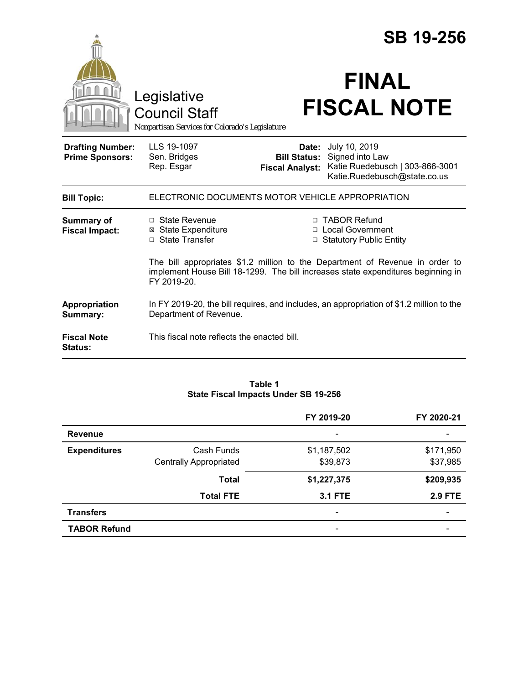|                                                   |                                                                                                                                                                                 |                                                        | <b>SB 19-256</b>                                                                                    |  |
|---------------------------------------------------|---------------------------------------------------------------------------------------------------------------------------------------------------------------------------------|--------------------------------------------------------|-----------------------------------------------------------------------------------------------------|--|
|                                                   | Legislative<br><b>Council Staff</b><br>Nonpartisan Services for Colorado's Legislature                                                                                          |                                                        | <b>FINAL</b><br><b>FISCAL NOTE</b>                                                                  |  |
| <b>Drafting Number:</b><br><b>Prime Sponsors:</b> | LLS 19-1097<br>Sen. Bridges<br>Rep. Esgar                                                                                                                                       | Date:<br><b>Bill Status:</b><br><b>Fiscal Analyst:</b> | July 10, 2019<br>Signed into Law<br>Katie Ruedebusch   303-866-3001<br>Katie.Ruedebusch@state.co.us |  |
| <b>Bill Topic:</b>                                | ELECTRONIC DOCUMENTS MOTOR VEHICLE APPROPRIATION                                                                                                                                |                                                        |                                                                                                     |  |
| <b>Summary of</b><br><b>Fiscal Impact:</b>        | $\Box$ State Revenue<br><b>⊠</b> State Expenditure<br>□ State Transfer                                                                                                          |                                                        | □ TABOR Refund<br>□ Local Government<br>□ Statutory Public Entity                                   |  |
|                                                   | The bill appropriates \$1.2 million to the Department of Revenue in order to<br>implement House Bill 18-1299. The bill increases state expenditures beginning in<br>FY 2019-20. |                                                        |                                                                                                     |  |
| Appropriation<br>Summary:                         | In FY 2019-20, the bill requires, and includes, an appropriation of \$1.2 million to the<br>Department of Revenue.                                                              |                                                        |                                                                                                     |  |
| <b>Fiscal Note</b><br><b>Status:</b>              | This fiscal note reflects the enacted bill.                                                                                                                                     |                                                        |                                                                                                     |  |

#### **Table 1 State Fiscal Impacts Under SB 19-256**

|                     |                               | FY 2019-20                   | FY 2020-21               |
|---------------------|-------------------------------|------------------------------|--------------------------|
| <b>Revenue</b>      |                               | $\overline{\phantom{0}}$     |                          |
| <b>Expenditures</b> | Cash Funds                    | \$1,187,502                  | \$171,950                |
|                     | <b>Centrally Appropriated</b> | \$39,873                     | \$37,985                 |
|                     | <b>Total</b>                  | \$1,227,375                  | \$209,935                |
|                     | <b>Total FTE</b>              | <b>3.1 FTE</b>               | <b>2.9 FTE</b>           |
| <b>Transfers</b>    |                               | $\qquad \qquad \blacksquare$ | $\overline{\phantom{0}}$ |
| <b>TABOR Refund</b> |                               |                              |                          |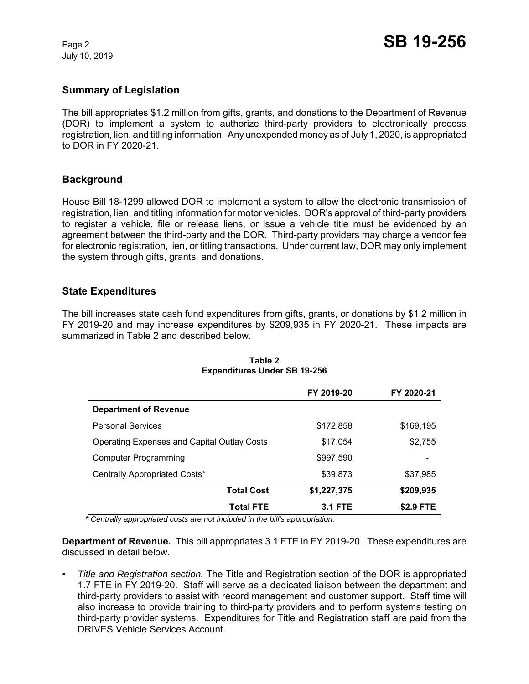July 10, 2019

## **Summary of Legislation**

The bill appropriates \$1.2 million from gifts, grants, and donations to the Department of Revenue (DOR) to implement a system to authorize third-party providers to electronically process registration, lien, and titling information. Any unexpended money as of July 1, 2020, is appropriated to DOR in FY 2020-21.

## **Background**

House Bill 18-1299 allowed DOR to implement a system to allow the electronic transmission of registration, lien, and titling information for motor vehicles. DOR's approval of third-party providers to register a vehicle, file or release liens, or issue a vehicle title must be evidenced by an agreement between the third-party and the DOR. Third-party providers may charge a vendor fee for electronic registration, lien, or titling transactions. Under current law, DOR may only implement the system through gifts, grants, and donations.

### **State Expenditures**

The bill increases state cash fund expenditures from gifts, grants, or donations by \$1.2 million in FY 2019-20 and may increase expenditures by \$209,935 in FY 2020-21. These impacts are summarized in Table 2 and described below.

|                                                    | FY 2019-20     | FY 2020-21 |
|----------------------------------------------------|----------------|------------|
| <b>Department of Revenue</b>                       |                |            |
| <b>Personal Services</b>                           | \$172,858      | \$169,195  |
| <b>Operating Expenses and Capital Outlay Costs</b> | \$17,054       | \$2,755    |
| Computer Programming                               | \$997,590      |            |
| Centrally Appropriated Costs*                      | \$39,873       | \$37,985   |
| <b>Total Cost</b>                                  | \$1,227,375    | \$209,935  |
| <b>Total FTE</b>                                   | <b>3.1 FTE</b> | \$2.9 FTE  |

#### **Table 2 Expenditures Under SB 19-256**

 *\* Centrally appropriated costs are not included in the bill's appropriation.*

**Department of Revenue.** This bill appropriates 3.1 FTE in FY 2019-20. These expenditures are discussed in detail below.

*• Title and Registration section.* The Title and Registration section of the DOR is appropriated 1.7 FTE in FY 2019-20. Staff will serve as a dedicated liaison between the department and third-party providers to assist with record management and customer support. Staff time will also increase to provide training to third-party providers and to perform systems testing on third-party provider systems. Expenditures for Title and Registration staff are paid from the DRIVES Vehicle Services Account.